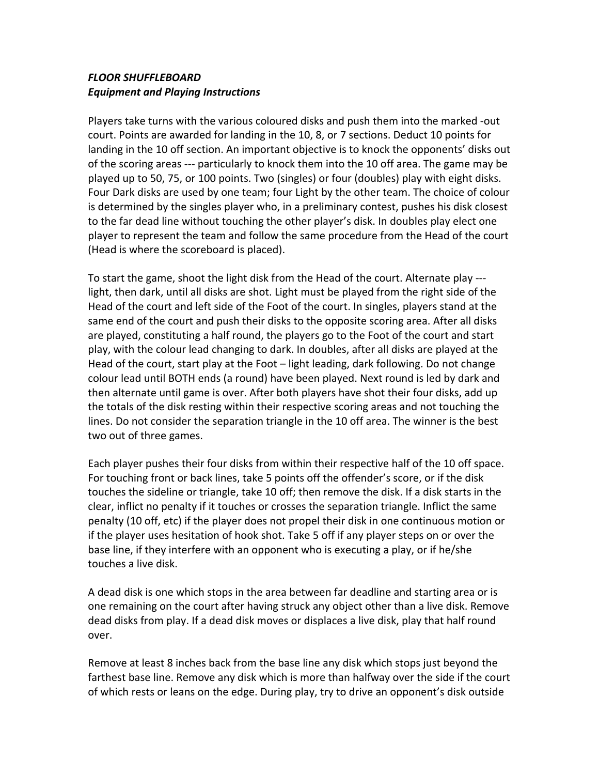## *FLOOR SHUFFLEBOARD Equipment and Playing Instructions*

Players take turns with the various coloured disks and push them into the marked ‐out court. Points are awarded for landing in the 10, 8, or 7 sections. Deduct 10 points for landing in the 10 off section. An important objective is to knock the opponents' disks out of the scoring areas ‐‐‐ particularly to knock them into the 10 off area. The game may be played up to 50, 75, or 100 points. Two (singles) or four (doubles) play with eight disks. Four Dark disks are used by one team; four Light by the other team. The choice of colour is determined by the singles player who, in a preliminary contest, pushes his disk closest to the far dead line without touching the other player's disk. In doubles play elect one player to represent the team and follow the same procedure from the Head of the court (Head is where the scoreboard is placed).

To start the game, shoot the light disk from the Head of the court. Alternate play ‐‐‐ light, then dark, until all disks are shot. Light must be played from the right side of the Head of the court and left side of the Foot of the court. In singles, players stand at the same end of the court and push their disks to the opposite scoring area. After all disks are played, constituting a half round, the players go to the Foot of the court and start play, with the colour lead changing to dark. In doubles, after all disks are played at the Head of the court, start play at the Foot – light leading, dark following. Do not change colour lead until BOTH ends (a round) have been played. Next round is led by dark and then alternate until game is over. After both players have shot their four disks, add up the totals of the disk resting within their respective scoring areas and not touching the lines. Do not consider the separation triangle in the 10 off area. The winner is the best two out of three games.

Each player pushes their four disks from within their respective half of the 10 off space. For touching front or back lines, take 5 points off the offender's score, or if the disk touches the sideline or triangle, take 10 off; then remove the disk. If a disk starts in the clear, inflict no penalty if it touches or crosses the separation triangle. Inflict the same penalty (10 off, etc) if the player does not propel their disk in one continuous motion or if the player uses hesitation of hook shot. Take 5 off if any player steps on or over the base line, if they interfere with an opponent who is executing a play, or if he/she touches a live disk.

A dead disk is one which stops in the area between far deadline and starting area or is one remaining on the court after having struck any object other than a live disk. Remove dead disks from play. If a dead disk moves or displaces a live disk, play that half round over.

Remove at least 8 inches back from the base line any disk which stops just beyond the farthest base line. Remove any disk which is more than halfway over the side if the court of which rests or leans on the edge. During play, try to drive an opponent's disk outside